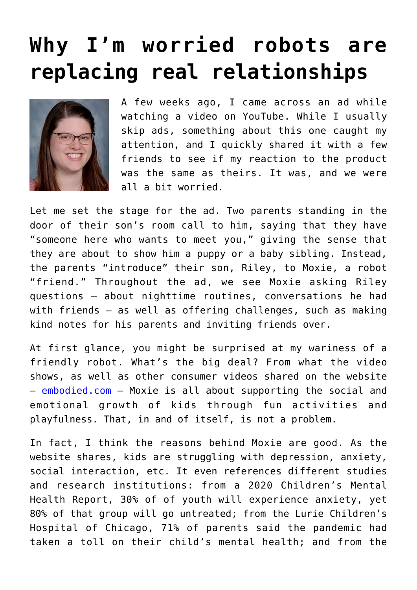## **[Why I'm worried robots are](https://www.osvnews.com/2022/06/21/why-im-worried-robots-are-replacing-real-relationships/) [replacing real relationships](https://www.osvnews.com/2022/06/21/why-im-worried-robots-are-replacing-real-relationships/)**



A few weeks ago, I came across an ad while watching a video on YouTube. While I usually skip ads, something about this one caught my attention, and I quickly shared it with a few friends to see if my reaction to the product was the same as theirs. It was, and we were all a bit worried.

Let me set the stage for the ad. Two parents standing in the door of their son's room call to him, saying that they have "someone here who wants to meet you," giving the sense that they are about to show him a puppy or a baby sibling. Instead, the parents "introduce" their son, Riley, to Moxie, a robot "friend." Throughout the ad, we see Moxie asking Riley questions — about nighttime routines, conversations he had with friends — as well as offering challenges, such as making kind notes for his parents and inviting friends over.

At first glance, you might be surprised at my wariness of a friendly robot. What's the big deal? From what the video shows, as well as other consumer videos shared on the website — [embodied.com](https://embodied.com/?gclid=CjwKCAjw7vuUBhBUEiwAEdu2pFn3nfhU39nMHuptNCfrxu4313QKRJteqeAKAxp3ENpnQT5tcTXDYxoCf7wQAvD_BwE) — Moxie is all about supporting the social and emotional growth of kids through fun activities and playfulness. That, in and of itself, is not a problem.

In fact, I think the reasons behind Moxie are good. As the website shares, kids are struggling with depression, anxiety, social interaction, etc. It even references different studies and research institutions: from a 2020 Children's Mental Health Report, 30% of of youth will experience anxiety, yet 80% of that group will go untreated; from the Lurie Children's Hospital of Chicago, 71% of parents said the pandemic had taken a toll on their child's mental health; and from the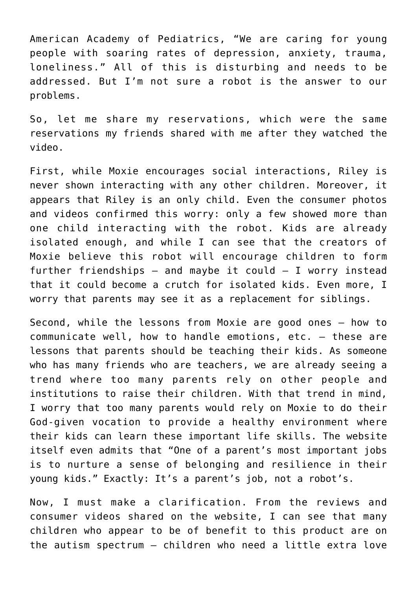American Academy of Pediatrics, "We are caring for young people with soaring rates of depression, anxiety, trauma, loneliness." All of this is disturbing and needs to be addressed. But I'm not sure a robot is the answer to our problems.

So, let me share my reservations, which were the same reservations my friends shared with me after they watched the video.

First, while Moxie encourages social interactions, Riley is never shown interacting with any other children. Moreover, it appears that Riley is an only child. Even the consumer photos and videos confirmed this worry: only a few showed more than one child interacting with the robot. Kids are already isolated enough, and while I can see that the creators of Moxie believe this robot will encourage children to form further friendships  $-$  and maybe it could  $-$  I worry instead that it could become a crutch for isolated kids. Even more, I worry that parents may see it as a replacement for siblings.

Second, while the lessons from Moxie are good ones — how to communicate well, how to handle emotions, etc. — these are lessons that parents should be teaching their kids. As someone who has many friends who are teachers, we are already seeing a trend where too many parents rely on other people and institutions to raise their children. With that trend in mind, I worry that too many parents would rely on Moxie to do their God-given vocation to provide a healthy environment where their kids can learn these important life skills. The website itself even admits that "One of a parent's most important jobs is to nurture a sense of belonging and resilience in their young kids." Exactly: It's a parent's job, not a robot's.

Now, I must make a clarification. From the reviews and consumer videos shared on the website, I can see that many children who appear to be of benefit to this product are on the autism spectrum — children who need a little extra love